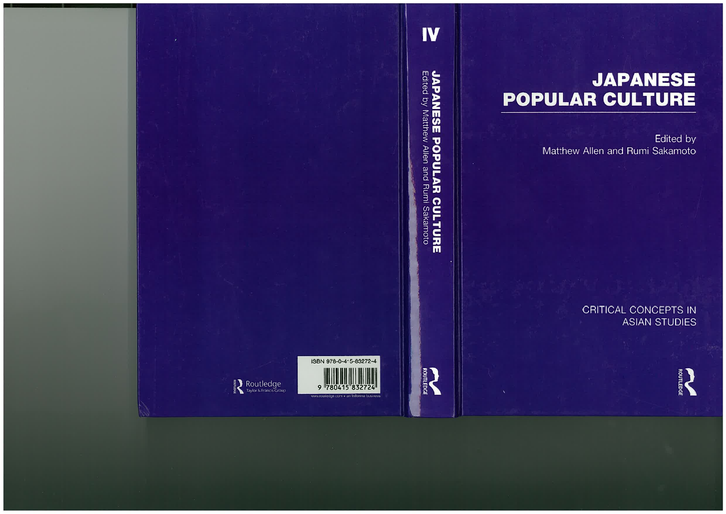# **JAPANESE POPULAR CULTURE**

**Edited by** Matthew Allen and Rumi Sakamoto

> **CRITICAL CONCEPTS IN ASIAN STUDIES**

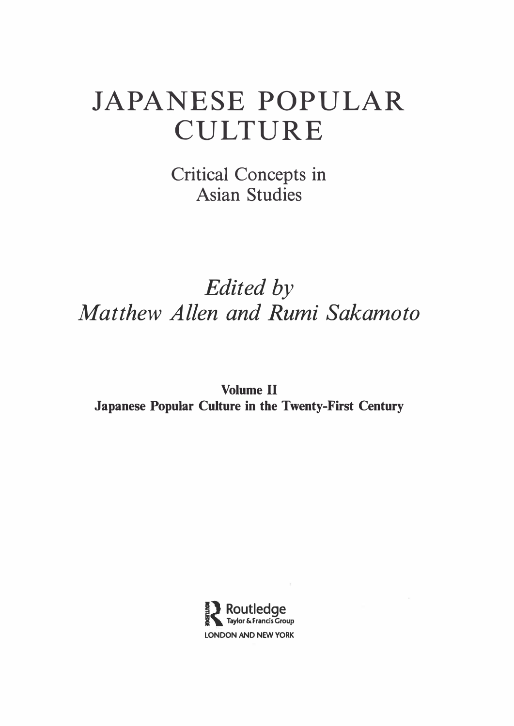# JAPANESE POPULAR CULTURE

Critical Concepts in Asian Studies

# Edited by Matthew Allen and Rumi Sakamoto

Volume II Japanese Popular Culture in the Twenty-First Century

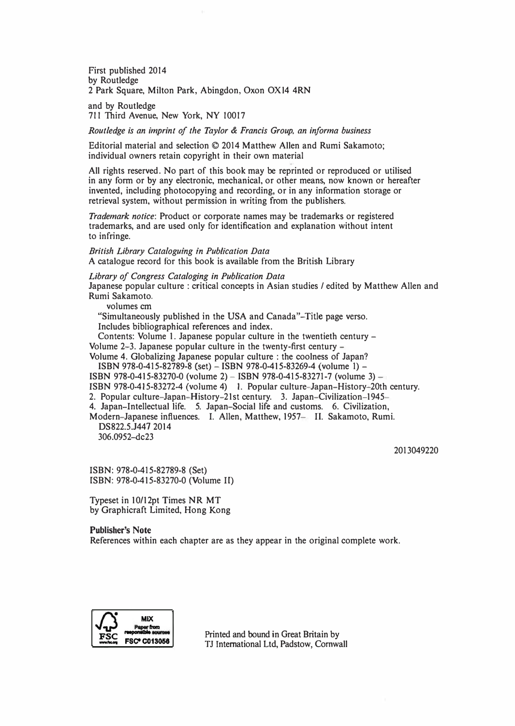First published 2014 by Routledge 2 Park Square, Milton Park, Abingdon, Oxon OXl4 4RN

and by Routledge 711 Third Avenue, New York, NY 10017

Routledge is an imprint of the Taylor & Francis Group, an informa business

Editorial material and selection© 2014 Matthew Allen and Rumi Sakamoto; individual owners retain copyright in their own material

All rights reserved. No part of this book may be reprinted or reproduced or utilised in any form or by any electronic, mechanical, or other means, now known or hereafter invented, including photocopying and recording, or in any information storage or retrieval system, without permission in writing from the publishers.

Trademark notice: Product or corporate names may be trademarks or registered trademarks, and are used only for identification and explanation without intent to infringe.

British Library Cataloguing in Publication Data A catalogue record for this book is available from the British Library

Library of Congress Cataloging in Publication Data Japanese popular culture : critical concepts in Asian studies / edited by Matthew Allen and

Rumi Sakamoto. volumes cm

"Simultaneously published in the USA and Canada"-Title page verso. Includes bibliographical references and index.

Contents: Volume 1. Japanese popular culture in the twentieth century - Volume 2-3. Japanese popular culture in the twenty-first century -

Volume 4. Globalizing Japanese popular culture: the coolness of Japan?

ISBN 978-0-415-82789-8 (set) - ISBN 978-0-415-83269-4 (volume 1) -

ISBN 978-0-415-83270-0 (volume 2)- ISBN 978-0-415-83271-7 (volume 3) -

ISBN 978-0-415-83272-4 (volume 4) 1. Popular culture-Japan-History-20th century.

2. Popular culture-Japan-History-21st century. 3. Japan-Civilization-1945-

4. Japan-Intellectual life. 5. Japan-Social life and customs. 6. Civilization,

Modern-Japanese influences. I. Allen, Matthew, 1957- II. Sakamoto, Rumi. DS822.5.J447 2014

306.0952-dc23

2013049220

ISBN: 978-0-415-82789-8 (Set) ISBN: 978-0-415-83270-0 (Volume II)

Typeset in 10/12pt Times NR MT by Graphicraft Limited, Hong Kong

Publisher's Note

References within each chapter are as they appear in the original complete work.



Printed and bound in Great Britain by TJ International Ltd, Padstow, Cornwall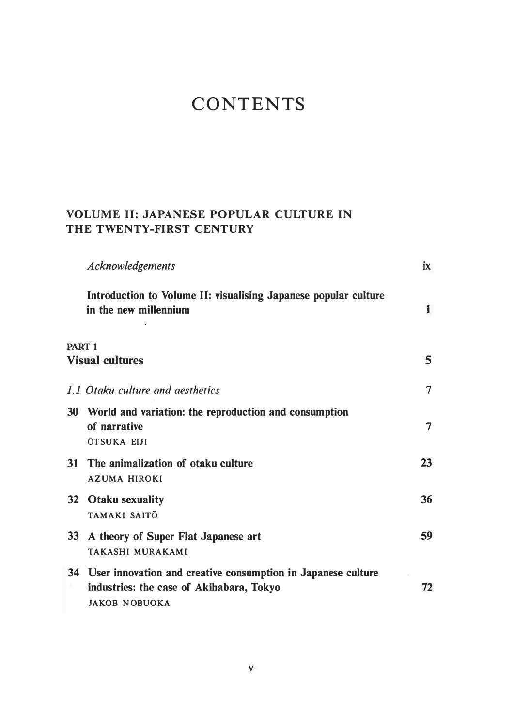## **CONTENTS**

#### VOLUME II: JAPANESE POPULAR CULTURE IN THE TWENTY-FIRST CENTURY

|               | <b>Acknowledgements</b>                                                                                                             | ix |
|---------------|-------------------------------------------------------------------------------------------------------------------------------------|----|
|               | Introduction to Volume II: visualising Japanese popular culture<br>in the new millennium                                            | 1  |
| <b>PART 1</b> | <b>Visual cultures</b>                                                                                                              | 5  |
|               | 1.1 Otaku culture and aesthetics                                                                                                    | 7  |
| 30            | World and variation: the reproduction and consumption<br>of narrative<br><b>ŌTSUKA EIJI</b>                                         | 7  |
| 31            | The animalization of otaku culture<br><b>AZUMA HIROKI</b>                                                                           | 23 |
|               | 32 Otaku sexuality<br>TAMAKI SAITŌ                                                                                                  | 36 |
|               | 33 A theory of Super Flat Japanese art<br><b>TAKASHI MURAKAMI</b>                                                                   | 59 |
|               | 34 User innovation and creative consumption in Japanese culture<br>industries: the case of Akihabara, Tokyo<br><b>JAKOB NOBUOKA</b> | 72 |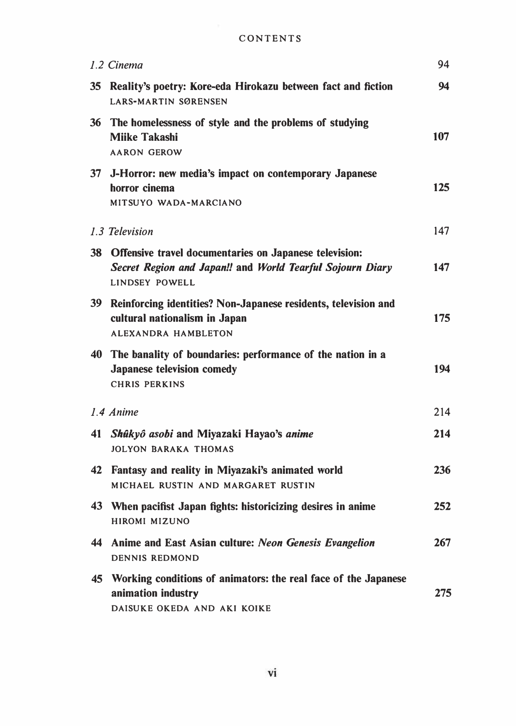| CONTENTS |  |  |  |  |  |  |
|----------|--|--|--|--|--|--|
|----------|--|--|--|--|--|--|

|                 | 1.2 Cinema                                                                                                                                   | 94  |
|-----------------|----------------------------------------------------------------------------------------------------------------------------------------------|-----|
| 35              | Reality's poetry: Kore-eda Hirokazu between fact and fiction<br><b>LARS-MARTIN SØRENSEN</b>                                                  | 94  |
| 36              | The homelessness of style and the problems of studying<br><b>Miike Takashi</b><br><b>AARON GEROW</b>                                         | 107 |
|                 | 37 J-Horror: new media's impact on contemporary Japanese<br>horror cinema<br>MITSUYO WADA-MARCIANO                                           | 125 |
|                 | 1.3 Television                                                                                                                               | 147 |
| 38              | Offensive travel documentaries on Japanese television:<br>Secret Region and Japan!! and World Tearful Sojourn Diary<br><b>LINDSEY POWELL</b> | 147 |
| 39 <sup>°</sup> | Reinforcing identities? Non-Japanese residents, television and<br>cultural nationalism in Japan<br>ALEXANDRA HAMBLETON                       | 175 |
|                 | 40 The banality of boundaries: performance of the nation in a<br><b>Japanese television comedy</b><br><b>CHRIS PERKINS</b>                   | 194 |
|                 | 1.4 Anime                                                                                                                                    | 214 |
| 41              | Shûkyô asobi and Miyazaki Hayao's anime<br><b>JOLYON BARAKA THOMAS</b>                                                                       | 214 |
|                 | 42 Fantasy and reality in Miyazaki's animated world<br>MICHAEL RUSTIN AND MARGARET RUSTIN                                                    | 236 |
|                 | 43 When pacifist Japan fights: historicizing desires in anime<br>HIROMI MIZUNO                                                               | 252 |
|                 | 44 Anime and East Asian culture: Neon Genesis Evangelion<br><b>DENNIS REDMOND</b>                                                            | 267 |
|                 | 45 Working conditions of animators: the real face of the Japanese<br>animation industry<br>DAISUKE OKEDA AND AKI KOIKE                       | 275 |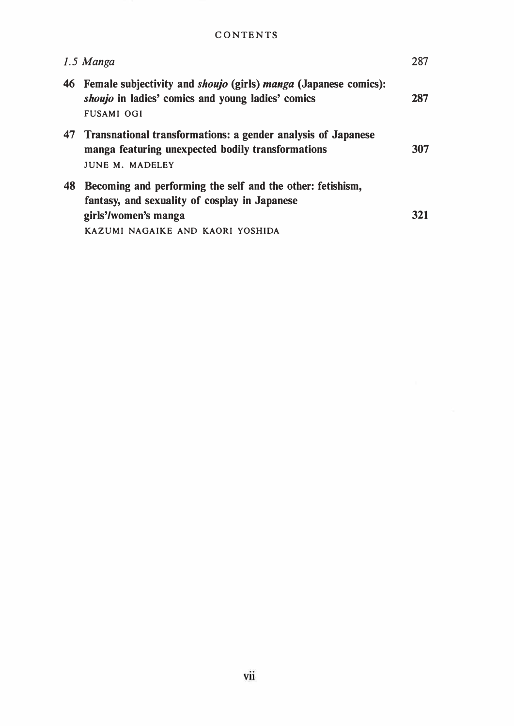#### **CONTENTS**

|    | 1.5 Manga                                                                                                                                                               | 287 |
|----|-------------------------------------------------------------------------------------------------------------------------------------------------------------------------|-----|
| 46 | Female subjectivity and <i>shoujo</i> (girls) <i>manga</i> (Japanese comics):<br><i>shoujo</i> in ladies' comics and young ladies' comics<br><b>FUSAMI OGI</b>          | 287 |
|    | 47 Transnational transformations: a gender analysis of Japanese<br>manga featuring unexpected bodily transformations<br><b>JUNE M. MADELEY</b>                          | 307 |
| 48 | Becoming and performing the self and the other: fetishism,<br>fantasy, and sexuality of cosplay in Japanese<br>girls'/women's manga<br>KAZUMI NAGAIKE AND KAORI YOSHIDA | 321 |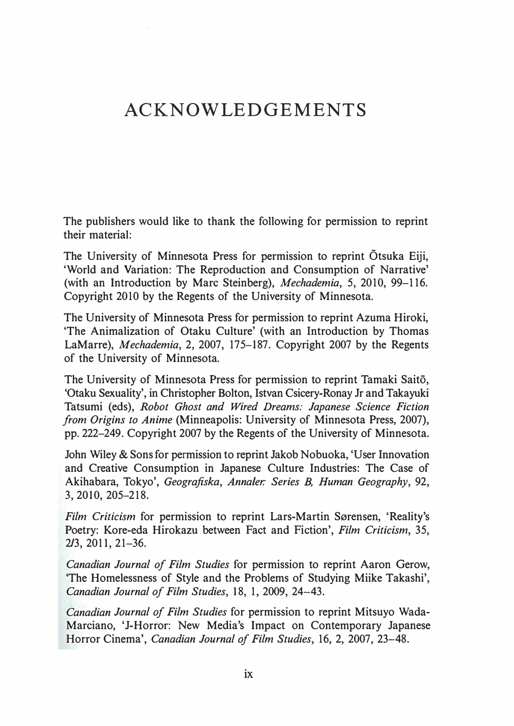### ACKNOWLEDGEMENTS

The publishers would like to thank the following for permission to reprint their material:

The University of Minnesota Press for permission to reprint Otsuka Eiji, 'World and Variation: The Reproduction and Consumption of Narrative' (with an Introduction by Marc Steinberg), Mechademia, 5, 2010, 99-116. Copyright 2010 by the Regents of the University of Minnesota.

The University of Minnesota Press for permission to reprint Azuma Hiroki, 'The Animalization of Otaku Culture' (with an Introduction by Thomas LaMarre), Mechademia, 2, 2007, 175–187. Copyright 2007 by the Regents of the University of Minnesota.

The University of Minnesota Press for permission to reprint Tamaki Saito, 'Otaku Sexuality', in Christopher Bolton, Istvan Csicery-Ronay Jr and Takayuki Tatsumi (eds), Robot Ghost and Wired Dreams: Japanese Science Fiction from Origins to Anime (Minneapolis: University of Minnesota Press, 2007), pp. 222-249. Copyright 2007 by the Regents of the University of Minnesota.

John Wiley & Sons for permission to reprint Jakob Nobuoka, 'User Innovation and Creative Consumption in Japanese Culture Industries: The Case of Akihabara, Tokyo', Geografiska, Annaler: Series B, Human Geography, 92, 3, 2010, 205-218.

Film Criticism for permission to reprint Lars-Martin Sørensen, 'Reality's Poetry: Kore-eda Hirokazu between Fact and Fiction', Film Criticism, 35, 2/3, 2011, 21-36.

Canadian Journal of Film Studies for permission to reprint Aaron Gerow, 'The Homelessness of Style and the Problems of Studying Miike Takashi', Canadian Journal of Film Studies, 18, 1, 2009, 24-43.

Canadian Journal of Film Studies for permission to reprint Mitsuyo Wada-Marciano, 'J-Horror: New Media's Impact on Contemporary Japanese Horror Cinema', Canadian Journal of Film Studies, 16, 2, 2007, 23-48.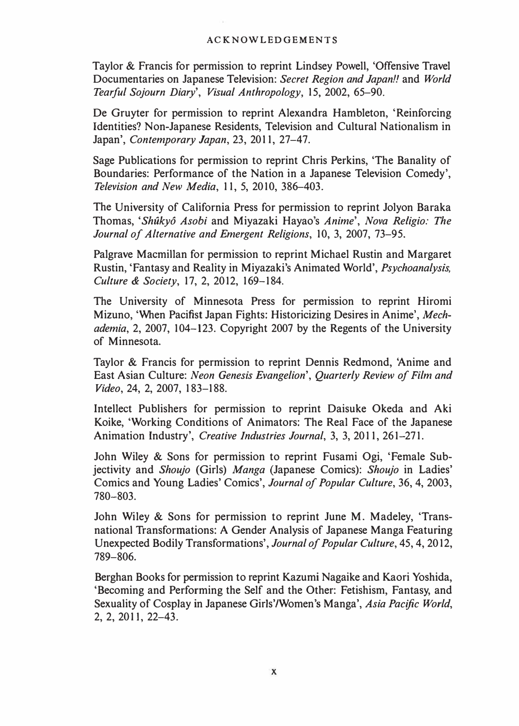#### ACKNOWLEDGEMENTS

Taylor & Francis for permission to reprint Lindsey Powell, 'Offensive Travel Documentaries on Japanese Television: Secret Region and Japan!! and World Tearful Sojourn Diary', Visual Anthropology, 15, 2002, 65-90.

De Gruyter for permission to reprint Alexandra Hambleton, 'Reinforcing Identities? Non-Japanese Residents, Television and Cultural Nationalism in Japan', Contemporary Japan, 23, 2011, 27-47.

Sage Publications for permission to reprint Chris Perkins, 'The Banality of Boundaries: Performance of the Nation in a Japanese Television Comedy', Television and New Media, 11, 5, 2010, 386-403.

The University of California Press for permission to reprint Jolyon Baraka Thomas, 'Shûkyô Asobi and Miyazaki Hayao's Anime', Nova Religio: The Journal of Alternative and Emergent Religions, 10, 3, 2007, 73-95.

Palgrave Macmillan for permission to reprint Michael Rustin and Margaret Rustin, 'Fantasy and Reality in Miyazaki's Animated World', Psychoanalysis, Culture & Society, 17, 2, 2012, 169-184.

The University of Minnesota Press for permission to reprint Hiromi Mizuno, 'When Pacifist Japan Fights: Historicizing Desires in Anime', Mechademia, 2, 2007, 104-123. Copyright 2007 by the Regents of the University of Minnesota.

Taylor & Francis for permission to reprint Dennis Redmond, 'Anime and East Asian Culture: Neon Genesis Evangelion', Quarterly Review of Film and Video, 24, 2, 2007, 183-188.

Intellect Publishers for permission to reprint Daisuke Okeda and Aki Koike, 'Working Conditions of Animators: The Real Face of the Japanese Animation Industry', Creative Industries Journal, 3, 3, 2011, 261-271.

John Wiley & Sons for permission to reprint Fusami Ogi, 'Female Subjectivity and Shoujo (Girls) Manga (Japanese Comics): Shoujo in Ladies' Comics and Young Ladies' Comics', Journal of Popular Culture, 36, 4, 2003, 780-803.

John Wiley & Sons for permission to reprint June M. Madeley, 'Transnational Transformations: A Gender Analysis of Japanese Manga Featuring Unexpected Bodily Transformations', Journal of Popular Culture, 45, 4, 2012, 789-806.

Berghan Books for permission to reprint Kazumi Nagaike and Kaori Yoshida, 'Becoming and Performing the Self and the Other: Fetishism, Fantasy, and Sexuality of Cosplay in Japanese Girls'/Women's Manga', Asia Pacific World, 2, 2, 201 I, 22-43.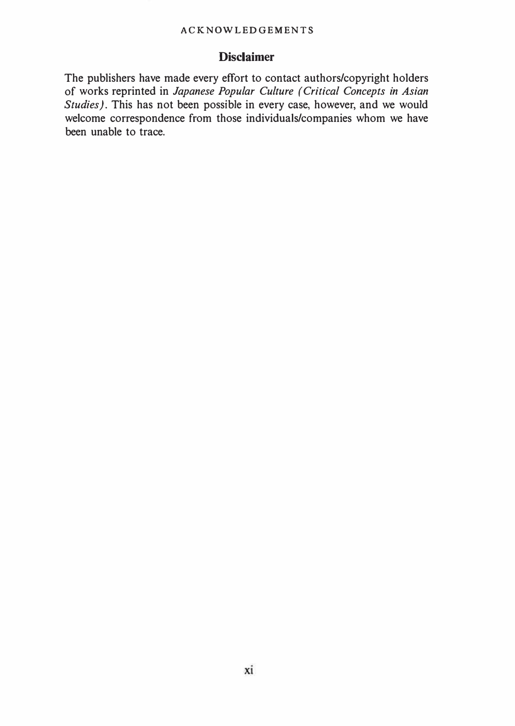#### ACKNOWLEDGEMENTS

#### **Disclaimer**

The publishers have made every effort to contact authors/copyright holders of works reprinted in Japanese Popular Culture (Critical Concepts in Asian Studies). This has not been possible in every case, however, and we would welcome correspondence from those individuals/companies whom we have been unable to trace.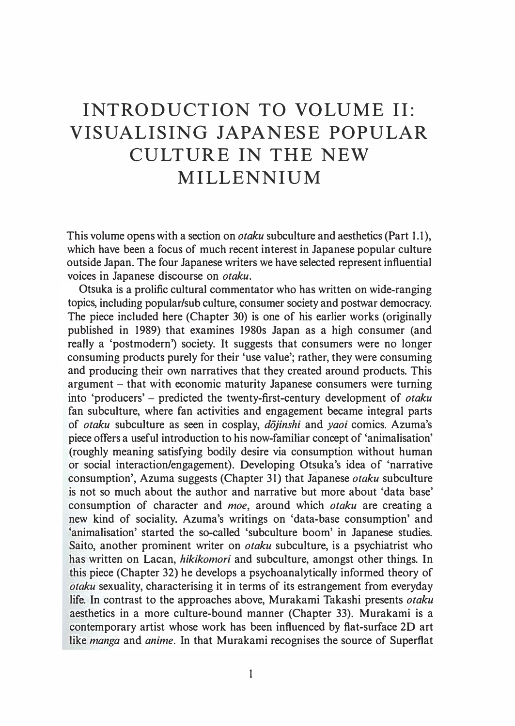## INTRODUCTION TO VOLUME II: VISUALISING JAPANESE POPULAR CULTURE IN THE NEW MILLENNIUM

This volume opens with a section on *otaku* subculture and aesthetics (Part 1.1), which have been a focus of much recent interest in Japanese popular culture outside Japan. The four Japanese writers we have selected represent influential voices in Japanese discourse on otaku.

Otsuka is a prolific cultural commentator who has written on wide-ranging topics, including popular/sub culture, consumer society and postwar democracy. The piece included here (Chapter 30) is one of his earlier works (originally published in 1989) that examines 1980s Japan as a high consumer (and really a 'postmodern') society. It suggests that consumers were no longer consuming products purely for their 'use value'; rather, they were consuming and producing their own narratives that they created around products. This argument - that with economic maturity Japanese consumers were turning into 'producers' - predicted the twenty-first-century development of otaku fan subculture, where fan activities and engagement became integral parts of *otaku* subculture as seen in cosplay, *dojinshi* and *yaoi* comics. Azuma's piece offers a useful introduction to his now-familiar concept of 'animalisation' (roughly meaning satisfying bodily desire via consumption without human or social interaction/engagement). Developing Otsuka's idea of 'narrative consumption', Azuma suggests (Chapter 31) that Japanese otaku subculture is not so much about the author and narrative but more about 'data base' consumption of character and moe, around which otaku are creating a new kind of sociality. Azuma's writings on 'data-base consumption' and 'animalisation' started the so-called 'subculture boom' in Japanese studies. Saito, another prominent writer on *otaku* subculture, is a psychiatrist who has written on Lacan, hikikomori and subculture, amongst other things. In this piece (Chapter 32) he develops a psychoanalytically informed theory of otaku sexuality, characterising it in terms of its estrangement from everyday life. In contrast to the approaches above, Murakami Takashi presents otaku aesthetics in a more culture-bound manner (Chapter 33). Murakami is a contemporary artist whose work has been influenced by flat-surface 2D art like manga and anime. In that Murakami recognises the source of Superflat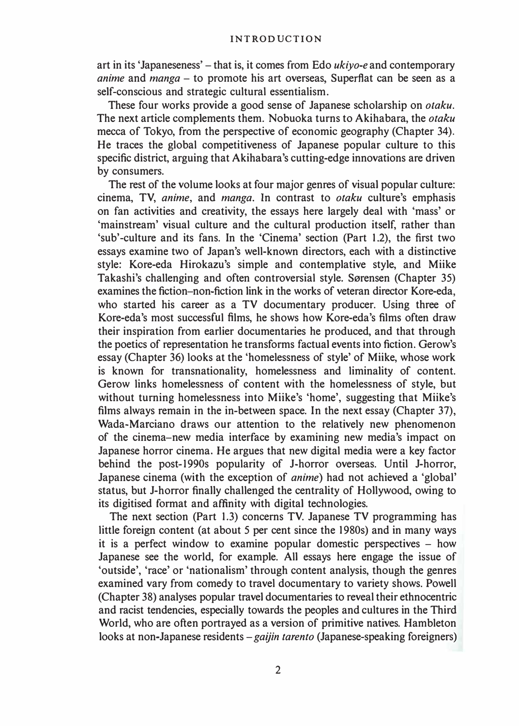art in its 'Japaneseness' – that is, it comes from Edo  $ukivo$ -e and contemporary *anime* and *manga*  $-$  to promote his art overseas, Superflat can be seen as a self-conscious and strategic cultural essentialism.

These four works provide a good sense of Japanese scholarship on otaku. The next article complements them. Nobuoka turns to Akihabara, the *otaku* mecca of Tokyo, from the perspective of economic geography (Chapter 34). He traces the global competitiveness of Japanese popular culture to this specific district, arguing that Akihabara's cutting-edge innovations are driven by consumers.

The rest of the volume looks at four major genres of visual popular culture: cinema, TV, anime, and manga. In contrast to otaku culture's emphasis on fan activities and creativity, the essays here largely deal with 'mass' or 'mainstream' visual culture and the cultural production itself, rather than 'sub' -culture and its fans. In the 'Cinema' section (Part 1.2), the first two essays examine two of Japan's well-known directors, each with a distinctive style: Kore-eda Hirokazu's simple and contemplative style, and Miike Takashi's challenging and often controversial style. Sørensen (Chapter 35) examines the fiction-non-fiction link in the works of veteran director Kore-eda, who started his career as a TV documentary producer. Using three of Kore-eda's most successful films, he shows how Kore-eda's films often draw their inspiration from earlier documentaries he produced, and that through the poetics of representation he transforms factual events into fiction. Gerow's essay (Chapter 36) looks at the 'homelessness of style' of Miike, whose work is known for transnationality, homelessness and liminality of content. Gerow links homelessness of content with the homelessness of style, but without turning homelessness into Miike's 'home', suggesting that Miike's films always remain in the in-between space. In the next essay (Chapter 37), Wada-Marciano draws our attention to the relatively new phenomenon of the cinema-new media interface by examining new media's impact on Japanese horror cinema. He argues that new digital media were a key factor behind the post-1990s popularity of J-horror overseas. Until J-horror, Japanese cinema (with the exception of anime) had not achieved a 'global' status, but J-horror finally challenged the centrality of Hollywood, owing to its digitised format and affinity with digital technologies.

The next section (Part 1.3) concerns TV. Japanese TV programming has little foreign content (at about 5 per cent since the 1980s) and in many ways it is a perfect window to examine popular domestic perspectives  $-$  how Japanese see the world, for example. All essays here engage the issue of 'outside', 'race' or 'nationalism' through content analysis, though the genres examined vary from comedy to travel documentary to variety shows. Powell (Chapter 38) analyses popular travel documentaries to reveal their ethnocentric and racist tendencies, especially towards the peoples and cultures in the Third World, who are often portrayed as a version of primitive natives. Hambleton looks at non-Japanese residents  $-gaijin \t{a}$  (Japanese-speaking foreigners)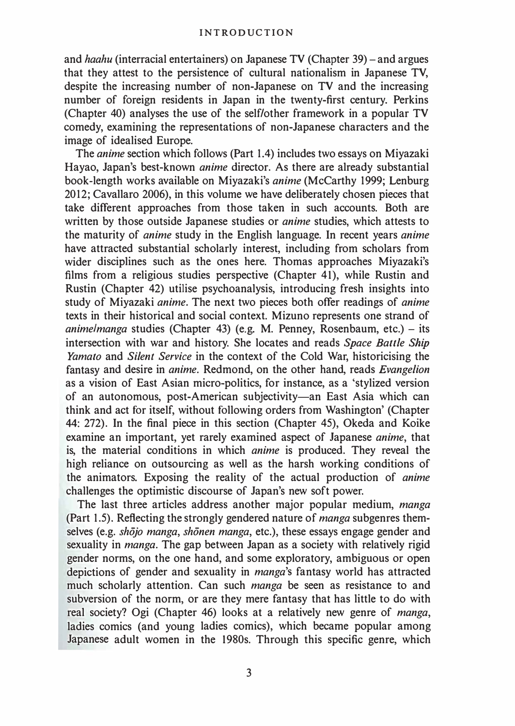and haahu (interracial entertainers) on Japanese TV (Chapter 39)- and argues that they attest to the persistence of cultural nationalism in Japanese TV, despite the increasing number of non-Japanese on TV and the increasing number of foreign residents in Japan in the twenty-first century. Perkins (Chapter 40) analyses the use of the self/other framework in a popular TV comedy, examining the representations of non-Japanese characters and the image of idealised Europe.

The anime section which follows (Part 1.4) includes two essays on Miyazaki Hayao, Japan's best-known anime director. As there are already substantial book-length works available on Miyazaki's anime (McCarthy 1999; Lenburg 2012; Cavallaro 2006), in this volume we have deliberately chosen pieces that take different approaches from those taken in such accounts. Both are written by those outside Japanese studies or *anime* studies, which attests to the maturity of anime study in the English language. In recent years anime have attracted substantial scholarly interest, including from scholars from wider disciplines such as the ones here. Thomas approaches Miyazaki's films from a religious studies perspective (Chapter 41), while Rustin and Rustin (Chapter 42) utilise psychoanalysis, introducing fresh insights into study of Miyazaki anime. The next two pieces both offer readings of anime texts in their historical and social context. Mizuno represents one strand of animelmanga studies (Chapter 43) (e.g. M. Penney, Rosenbaum, etc.) – its intersection with war and history. She locates and reads Space Battle Ship Yamato and Silent Service in the context of the Cold War, historicising the fantasy and desire in anime. Redmond, on the other hand, reads Evangelion as a vision of East Asian micro-politics, for instance, as a 'stylized version of an autonomous, post-American subjectivity-an East Asia which can think and act for itself, without following orders from Washington' (Chapter 44: 272). In the final piece in this section (Chapter 45), Okeda and Koike examine an important, yet rarely examined aspect of Japanese anime, that is, the material conditions in which anime is produced. They reveal the high reliance on outsourcing as well as the harsh working conditions of the animators. Exposing the reality of the actual production of anime challenges the optimistic discourse of Japan's new soft power.

The last three articles address another major popular medium, manga (Part 1.5). Reflecting the strongly gendered nature of manga subgenres themselves (e.g. *shōjo manga, shōnen manga, etc.*), these essays engage gender and sexuality in *manga*. The gap between Japan as a society with relatively rigid gender norms, on the one hand, and some exploratory, ambiguous or open depictions of gender and sexuality in manga's fantasy world has attracted much scholarly attention. Can such manga be seen as resistance to and subversion of the norm, or are they mere fantasy that has little to do with real society? Ogi (Chapter 46) looks at a relatively new genre of manga, ladies comics (and young ladies comics), which became popular among Japanese adult women in the 1980s. Through this specific genre, which